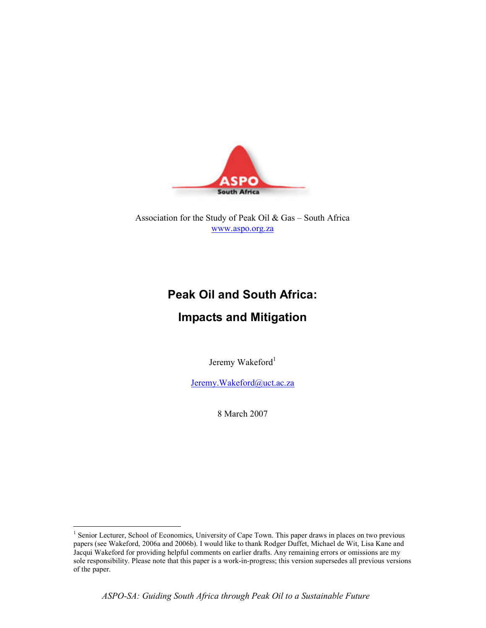

Association for the Study of Peak Oil & Gas – South Africa www.aspo.org.za

# Peak Oil and South Africa:

## Impacts and Mitigation

Jeremy Wakeford<sup>1</sup>

Jeremy.Wakeford@uct.ac.za

8 March 2007

 $\overline{a}$ 

ASPO-SA: Guiding South Africa through Peak Oil to a Sustainable Future

<sup>&</sup>lt;sup>1</sup> Senior Lecturer, School of Economics, University of Cape Town. This paper draws in places on two previous papers (see Wakeford, 2006a and 2006b). I would like to thank Rodger Duffet, Michael de Wit, Lisa Kane and Jacqui Wakeford for providing helpful comments on earlier drafts. Any remaining errors or omissions are my sole responsibility. Please note that this paper is a work-in-progress; this version supersedes all previous versions of the paper.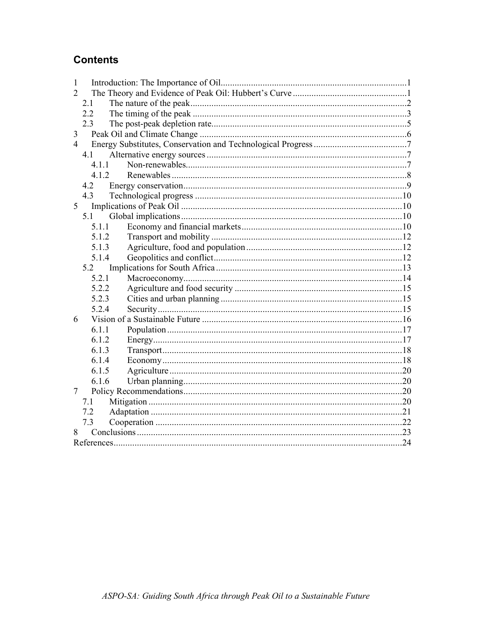## **Contents**

| 1              |  |
|----------------|--|
| 2              |  |
| 2.1            |  |
| 2.2            |  |
| 2.3            |  |
| 3              |  |
| $\overline{4}$ |  |
| 4.1            |  |
| 4.1.1          |  |
| 4.1.2          |  |
| 4.2            |  |
| 4.3            |  |
| 5              |  |
| 5.1            |  |
| 5.1.1          |  |
| 5.1.2          |  |
| 5.1.3          |  |
| 5.1.4          |  |
| 5.2            |  |
| 5.2.1          |  |
| 5.2.2          |  |
| 5.2.3          |  |
| 5.2.4          |  |
| 6              |  |
| 6.1.1          |  |
| 6 1 2          |  |
| 6.1.3          |  |
| 6.1.4          |  |
| 6.1.5          |  |
| 6.1.6          |  |
| 7              |  |
| 7.1            |  |
| 7.2            |  |
| 7.3            |  |
| 8              |  |
|                |  |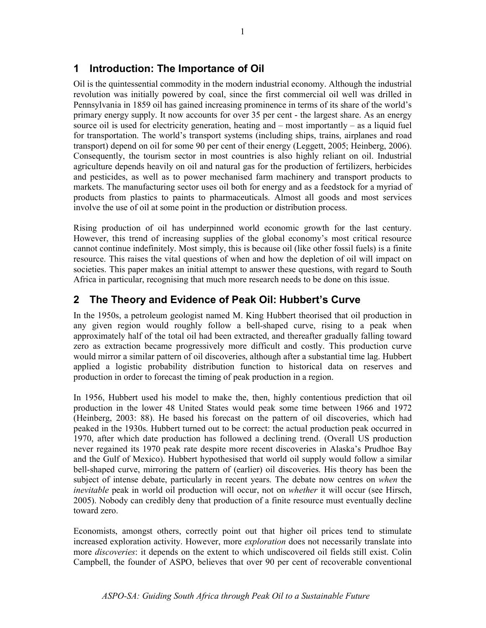## 1 Introduction: The Importance of Oil

Oil is the quintessential commodity in the modern industrial economy. Although the industrial revolution was initially powered by coal, since the first commercial oil well was drilled in Pennsylvania in 1859 oil has gained increasing prominence in terms of its share of the world's primary energy supply. It now accounts for over 35 per cent - the largest share. As an energy source oil is used for electricity generation, heating and – most importantly – as a liquid fuel for transportation. The world's transport systems (including ships, trains, airplanes and road transport) depend on oil for some 90 per cent of their energy (Leggett, 2005; Heinberg, 2006). Consequently, the tourism sector in most countries is also highly reliant on oil. Industrial agriculture depends heavily on oil and natural gas for the production of fertilizers, herbicides and pesticides, as well as to power mechanised farm machinery and transport products to markets. The manufacturing sector uses oil both for energy and as a feedstock for a myriad of products from plastics to paints to pharmaceuticals. Almost all goods and most services involve the use of oil at some point in the production or distribution process.

Rising production of oil has underpinned world economic growth for the last century. However, this trend of increasing supplies of the global economy's most critical resource cannot continue indefinitely. Most simply, this is because oil (like other fossil fuels) is a finite resource. This raises the vital questions of when and how the depletion of oil will impact on societies. This paper makes an initial attempt to answer these questions, with regard to South Africa in particular, recognising that much more research needs to be done on this issue.

## 2 The Theory and Evidence of Peak Oil: Hubbert's Curve

In the 1950s, a petroleum geologist named M. King Hubbert theorised that oil production in any given region would roughly follow a bell-shaped curve, rising to a peak when approximately half of the total oil had been extracted, and thereafter gradually falling toward zero as extraction became progressively more difficult and costly. This production curve would mirror a similar pattern of oil discoveries, although after a substantial time lag. Hubbert applied a logistic probability distribution function to historical data on reserves and production in order to forecast the timing of peak production in a region.

In 1956, Hubbert used his model to make the, then, highly contentious prediction that oil production in the lower 48 United States would peak some time between 1966 and 1972 (Heinberg, 2003: 88). He based his forecast on the pattern of oil discoveries, which had peaked in the 1930s. Hubbert turned out to be correct: the actual production peak occurred in 1970, after which date production has followed a declining trend. (Overall US production never regained its 1970 peak rate despite more recent discoveries in Alaska's Prudhoe Bay and the Gulf of Mexico). Hubbert hypothesised that world oil supply would follow a similar bell-shaped curve, mirroring the pattern of (earlier) oil discoveries. His theory has been the subject of intense debate, particularly in recent years. The debate now centres on when the inevitable peak in world oil production will occur, not on whether it will occur (see Hirsch, 2005). Nobody can credibly deny that production of a finite resource must eventually decline toward zero.

Economists, amongst others, correctly point out that higher oil prices tend to stimulate increased exploration activity. However, more *exploration* does not necessarily translate into more *discoveries*: it depends on the extent to which undiscovered oil fields still exist. Colin Campbell, the founder of ASPO, believes that over 90 per cent of recoverable conventional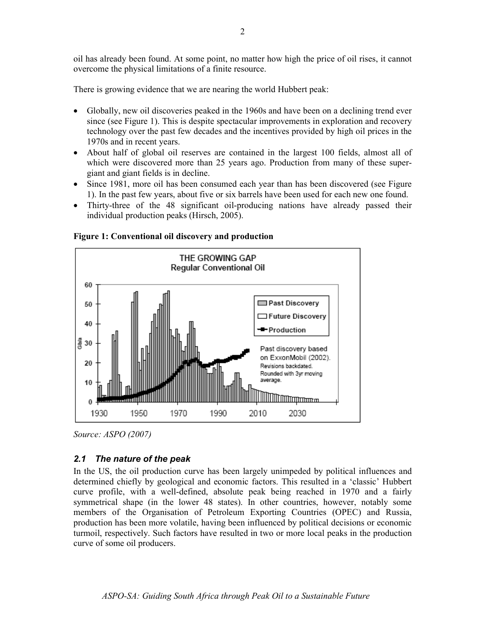oil has already been found. At some point, no matter how high the price of oil rises, it cannot overcome the physical limitations of a finite resource.

There is growing evidence that we are nearing the world Hubbert peak:

- Globally, new oil discoveries peaked in the 1960s and have been on a declining trend ever since (see Figure 1). This is despite spectacular improvements in exploration and recovery technology over the past few decades and the incentives provided by high oil prices in the 1970s and in recent years.
- About half of global oil reserves are contained in the largest 100 fields, almost all of which were discovered more than 25 years ago. Production from many of these supergiant and giant fields is in decline.
- Since 1981, more oil has been consumed each year than has been discovered (see Figure 1). In the past few years, about five or six barrels have been used for each new one found.
- Thirty-three of the 48 significant oil-producing nations have already passed their individual production peaks (Hirsch, 2005).



Figure 1: Conventional oil discovery and production

#### 2.1 The nature of the peak

In the US, the oil production curve has been largely unimpeded by political influences and determined chiefly by geological and economic factors. This resulted in a 'classic' Hubbert curve profile, with a well-defined, absolute peak being reached in 1970 and a fairly symmetrical shape (in the lower 48 states). In other countries, however, notably some members of the Organisation of Petroleum Exporting Countries (OPEC) and Russia, production has been more volatile, having been influenced by political decisions or economic turmoil, respectively. Such factors have resulted in two or more local peaks in the production curve of some oil producers.

Source: ASPO (2007)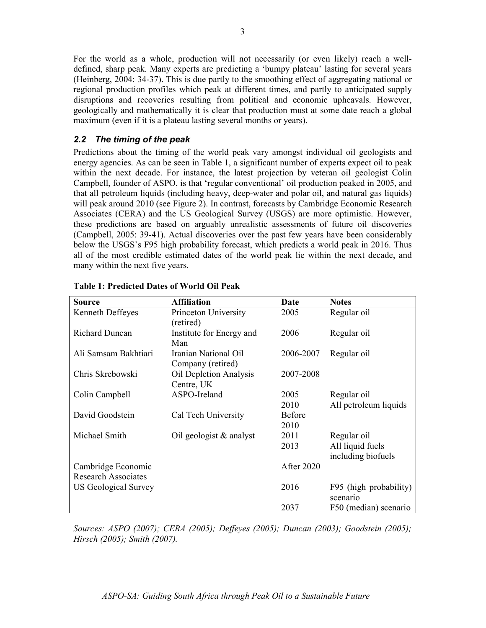For the world as a whole, production will not necessarily (or even likely) reach a welldefined, sharp peak. Many experts are predicting a 'bumpy plateau' lasting for several years (Heinberg, 2004: 34-37). This is due partly to the smoothing effect of aggregating national or regional production profiles which peak at different times, and partly to anticipated supply disruptions and recoveries resulting from political and economic upheavals. However, geologically and mathematically it is clear that production must at some date reach a global maximum (even if it is a plateau lasting several months or years).

#### 2.2 The timing of the peak

Predictions about the timing of the world peak vary amongst individual oil geologists and energy agencies. As can be seen in Table 1, a significant number of experts expect oil to peak within the next decade. For instance, the latest projection by veteran oil geologist Colin Campbell, founder of ASPO, is that 'regular conventional' oil production peaked in 2005, and that all petroleum liquids (including heavy, deep-water and polar oil, and natural gas liquids) will peak around 2010 (see Figure 2). In contrast, forecasts by Cambridge Economic Research Associates (CERA) and the US Geological Survey (USGS) are more optimistic. However, these predictions are based on arguably unrealistic assessments of future oil discoveries (Campbell, 2005: 39-41). Actual discoveries over the past few years have been considerably below the USGS's F95 high probability forecast, which predicts a world peak in 2016. Thus all of the most credible estimated dates of the world peak lie within the next decade, and many within the next five years.

| <b>Source</b>                                    | <b>Affiliation</b>                        | Date              | <b>Notes</b>                           |
|--------------------------------------------------|-------------------------------------------|-------------------|----------------------------------------|
| Kenneth Deffeyes                                 | Princeton University<br>(retired)         | 2005              | Regular oil                            |
| <b>Richard Duncan</b>                            | Institute for Energy and<br>Man           | 2006              | Regular oil                            |
| Ali Samsam Bakhtiari                             | Iranian National Oil<br>Company (retired) | 2006-2007         | Regular oil                            |
| Chris Skrebowski                                 | Oil Depletion Analysis<br>Centre, UK      | 2007-2008         |                                        |
| Colin Campbell                                   | ASPO-Ireland                              | 2005<br>2010      | Regular oil<br>All petroleum liquids   |
| David Goodstein                                  | Cal Tech University                       | Before<br>2010    |                                        |
| Michael Smith                                    | Oil geologist $\&$ analyst                | 2011              | Regular oil                            |
|                                                  |                                           | 2013              | All liquid fuels<br>including biofuels |
| Cambridge Economic<br><b>Research Associates</b> |                                           | <b>After 2020</b> |                                        |
| US Geological Survey                             |                                           | 2016              | F95 (high probability)<br>scenario     |
|                                                  |                                           | 2037              | F50 (median) scenario                  |

#### Table 1: Predicted Dates of World Oil Peak

Sources: ASPO (2007); CERA (2005); Deffeyes (2005); Duncan (2003); Goodstein (2005); Hirsch (2005); Smith (2007).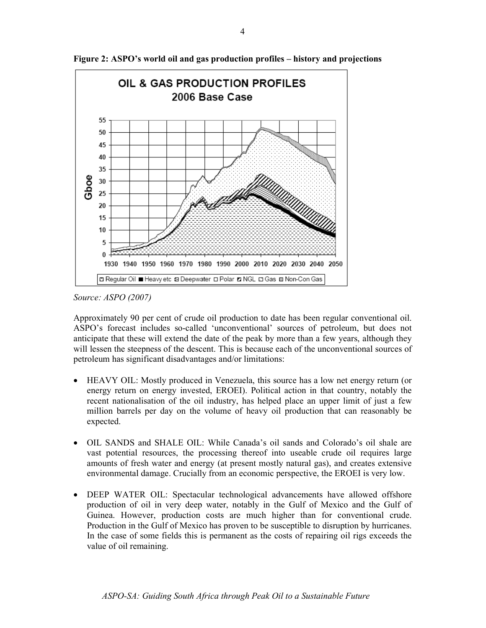

Figure 2: ASPO's world oil and gas production profiles – history and projections

Source: ASPO (2007)

Approximately 90 per cent of crude oil production to date has been regular conventional oil. ASPO's forecast includes so-called 'unconventional' sources of petroleum, but does not anticipate that these will extend the date of the peak by more than a few years, although they will lessen the steepness of the descent. This is because each of the unconventional sources of petroleum has significant disadvantages and/or limitations:

- HEAVY OIL: Mostly produced in Venezuela, this source has a low net energy return (or energy return on energy invested, EROEI). Political action in that country, notably the recent nationalisation of the oil industry, has helped place an upper limit of just a few million barrels per day on the volume of heavy oil production that can reasonably be expected.
- OIL SANDS and SHALE OIL: While Canada's oil sands and Colorado's oil shale are vast potential resources, the processing thereof into useable crude oil requires large amounts of fresh water and energy (at present mostly natural gas), and creates extensive environmental damage. Crucially from an economic perspective, the EROEI is very low.
- DEEP WATER OIL: Spectacular technological advancements have allowed offshore production of oil in very deep water, notably in the Gulf of Mexico and the Gulf of Guinea. However, production costs are much higher than for conventional crude. Production in the Gulf of Mexico has proven to be susceptible to disruption by hurricanes. In the case of some fields this is permanent as the costs of repairing oil rigs exceeds the value of oil remaining.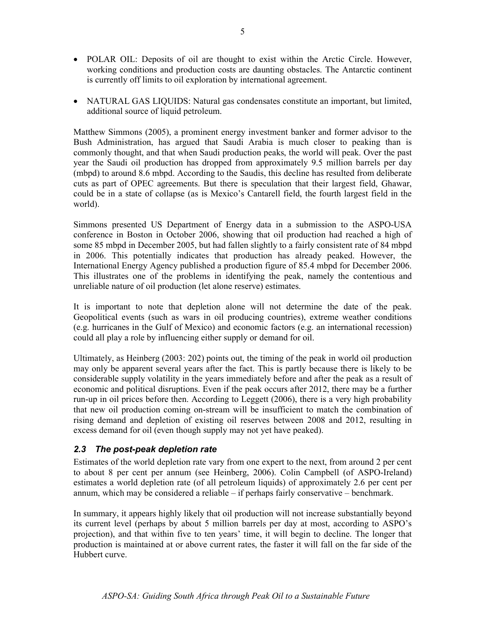- POLAR OIL: Deposits of oil are thought to exist within the Arctic Circle. However, working conditions and production costs are daunting obstacles. The Antarctic continent is currently off limits to oil exploration by international agreement.
- NATURAL GAS LIQUIDS: Natural gas condensates constitute an important, but limited, additional source of liquid petroleum.

Matthew Simmons (2005), a prominent energy investment banker and former advisor to the Bush Administration, has argued that Saudi Arabia is much closer to peaking than is commonly thought, and that when Saudi production peaks, the world will peak. Over the past year the Saudi oil production has dropped from approximately 9.5 million barrels per day (mbpd) to around 8.6 mbpd. According to the Saudis, this decline has resulted from deliberate cuts as part of OPEC agreements. But there is speculation that their largest field, Ghawar, could be in a state of collapse (as is Mexico's Cantarell field, the fourth largest field in the world).

Simmons presented US Department of Energy data in a submission to the ASPO-USA conference in Boston in October 2006, showing that oil production had reached a high of some 85 mbpd in December 2005, but had fallen slightly to a fairly consistent rate of 84 mbpd in 2006. This potentially indicates that production has already peaked. However, the International Energy Agency published a production figure of 85.4 mbpd for December 2006. This illustrates one of the problems in identifying the peak, namely the contentious and unreliable nature of oil production (let alone reserve) estimates.

It is important to note that depletion alone will not determine the date of the peak. Geopolitical events (such as wars in oil producing countries), extreme weather conditions (e.g. hurricanes in the Gulf of Mexico) and economic factors (e.g. an international recession) could all play a role by influencing either supply or demand for oil.

Ultimately, as Heinberg (2003: 202) points out, the timing of the peak in world oil production may only be apparent several years after the fact. This is partly because there is likely to be considerable supply volatility in the years immediately before and after the peak as a result of economic and political disruptions. Even if the peak occurs after 2012, there may be a further run-up in oil prices before then. According to Leggett (2006), there is a very high probability that new oil production coming on-stream will be insufficient to match the combination of rising demand and depletion of existing oil reserves between 2008 and 2012, resulting in excess demand for oil (even though supply may not yet have peaked).

#### 2.3 The post-peak depletion rate

Estimates of the world depletion rate vary from one expert to the next, from around 2 per cent to about 8 per cent per annum (see Heinberg, 2006). Colin Campbell (of ASPO-Ireland) estimates a world depletion rate (of all petroleum liquids) of approximately 2.6 per cent per annum, which may be considered a reliable – if perhaps fairly conservative – benchmark.

In summary, it appears highly likely that oil production will not increase substantially beyond its current level (perhaps by about 5 million barrels per day at most, according to ASPO's projection), and that within five to ten years' time, it will begin to decline. The longer that production is maintained at or above current rates, the faster it will fall on the far side of the Hubbert curve.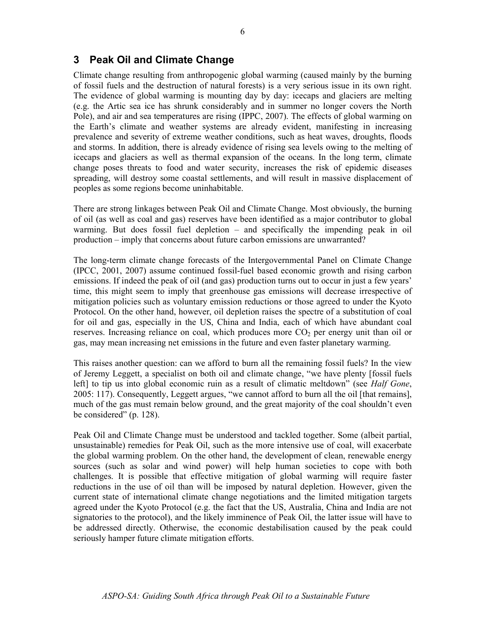#### 6

#### 3 Peak Oil and Climate Change

Climate change resulting from anthropogenic global warming (caused mainly by the burning of fossil fuels and the destruction of natural forests) is a very serious issue in its own right. The evidence of global warming is mounting day by day: icecaps and glaciers are melting (e.g. the Artic sea ice has shrunk considerably and in summer no longer covers the North Pole), and air and sea temperatures are rising (IPPC, 2007). The effects of global warming on the Earth's climate and weather systems are already evident, manifesting in increasing prevalence and severity of extreme weather conditions, such as heat waves, droughts, floods and storms. In addition, there is already evidence of rising sea levels owing to the melting of icecaps and glaciers as well as thermal expansion of the oceans. In the long term, climate change poses threats to food and water security, increases the risk of epidemic diseases spreading, will destroy some coastal settlements, and will result in massive displacement of peoples as some regions become uninhabitable.

There are strong linkages between Peak Oil and Climate Change. Most obviously, the burning of oil (as well as coal and gas) reserves have been identified as a major contributor to global warming. But does fossil fuel depletion – and specifically the impending peak in oil production – imply that concerns about future carbon emissions are unwarranted?

The long-term climate change forecasts of the Intergovernmental Panel on Climate Change (IPCC, 2001, 2007) assume continued fossil-fuel based economic growth and rising carbon emissions. If indeed the peak of oil (and gas) production turns out to occur in just a few years' time, this might seem to imply that greenhouse gas emissions will decrease irrespective of mitigation policies such as voluntary emission reductions or those agreed to under the Kyoto Protocol. On the other hand, however, oil depletion raises the spectre of a substitution of coal for oil and gas, especially in the US, China and India, each of which have abundant coal reserves. Increasing reliance on coal, which produces more  $CO<sub>2</sub>$  per energy unit than oil or gas, may mean increasing net emissions in the future and even faster planetary warming.

This raises another question: can we afford to burn all the remaining fossil fuels? In the view of Jeremy Leggett, a specialist on both oil and climate change, "we have plenty [fossil fuels left] to tip us into global economic ruin as a result of climatic meltdown" (see *Half Gone*, 2005: 117). Consequently, Leggett argues, "we cannot afford to burn all the oil [that remains], much of the gas must remain below ground, and the great majority of the coal shouldn't even be considered" (p. 128).

Peak Oil and Climate Change must be understood and tackled together. Some (albeit partial, unsustainable) remedies for Peak Oil, such as the more intensive use of coal, will exacerbate the global warming problem. On the other hand, the development of clean, renewable energy sources (such as solar and wind power) will help human societies to cope with both challenges. It is possible that effective mitigation of global warming will require faster reductions in the use of oil than will be imposed by natural depletion. However, given the current state of international climate change negotiations and the limited mitigation targets agreed under the Kyoto Protocol (e.g. the fact that the US, Australia, China and India are not signatories to the protocol), and the likely imminence of Peak Oil, the latter issue will have to be addressed directly. Otherwise, the economic destabilisation caused by the peak could seriously hamper future climate mitigation efforts.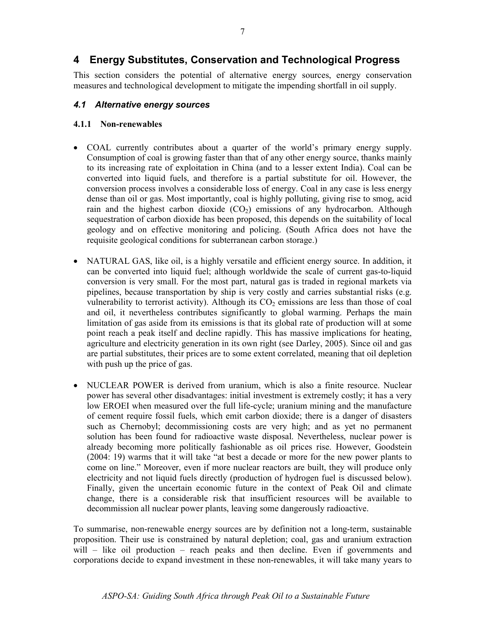This section considers the potential of alternative energy sources, energy conservation measures and technological development to mitigate the impending shortfall in oil supply.

#### 4.1 Alternative energy sources

#### 4.1.1 Non-renewables

- COAL currently contributes about a quarter of the world's primary energy supply. Consumption of coal is growing faster than that of any other energy source, thanks mainly to its increasing rate of exploitation in China (and to a lesser extent India). Coal can be converted into liquid fuels, and therefore is a partial substitute for oil. However, the conversion process involves a considerable loss of energy. Coal in any case is less energy dense than oil or gas. Most importantly, coal is highly polluting, giving rise to smog, acid rain and the highest carbon dioxide  $(CO<sub>2</sub>)$  emissions of any hydrocarbon. Although sequestration of carbon dioxide has been proposed, this depends on the suitability of local geology and on effective monitoring and policing. (South Africa does not have the requisite geological conditions for subterranean carbon storage.)
- NATURAL GAS, like oil, is a highly versatile and efficient energy source. In addition, it can be converted into liquid fuel; although worldwide the scale of current gas-to-liquid conversion is very small. For the most part, natural gas is traded in regional markets via pipelines, because transportation by ship is very costly and carries substantial risks (e.g. vulnerability to terrorist activity). Although its  $CO<sub>2</sub>$  emissions are less than those of coal and oil, it nevertheless contributes significantly to global warming. Perhaps the main limitation of gas aside from its emissions is that its global rate of production will at some point reach a peak itself and decline rapidly. This has massive implications for heating, agriculture and electricity generation in its own right (see Darley, 2005). Since oil and gas are partial substitutes, their prices are to some extent correlated, meaning that oil depletion with push up the price of gas.
- NUCLEAR POWER is derived from uranium, which is also a finite resource. Nuclear power has several other disadvantages: initial investment is extremely costly; it has a very low EROEI when measured over the full life-cycle; uranium mining and the manufacture of cement require fossil fuels, which emit carbon dioxide; there is a danger of disasters such as Chernobyl; decommissioning costs are very high; and as yet no permanent solution has been found for radioactive waste disposal. Nevertheless, nuclear power is already becoming more politically fashionable as oil prices rise. However, Goodstein (2004: 19) warms that it will take "at best a decade or more for the new power plants to come on line." Moreover, even if more nuclear reactors are built, they will produce only electricity and not liquid fuels directly (production of hydrogen fuel is discussed below). Finally, given the uncertain economic future in the context of Peak Oil and climate change, there is a considerable risk that insufficient resources will be available to decommission all nuclear power plants, leaving some dangerously radioactive.

To summarise, non-renewable energy sources are by definition not a long-term, sustainable proposition. Their use is constrained by natural depletion; coal, gas and uranium extraction will – like oil production – reach peaks and then decline. Even if governments and corporations decide to expand investment in these non-renewables, it will take many years to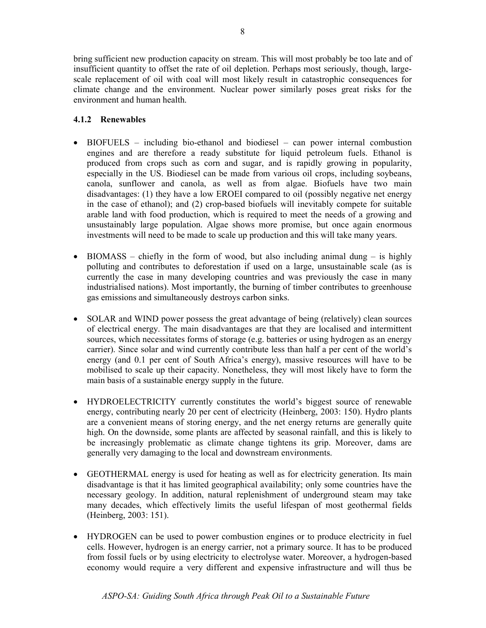bring sufficient new production capacity on stream. This will most probably be too late and of insufficient quantity to offset the rate of oil depletion. Perhaps most seriously, though, largescale replacement of oil with coal will most likely result in catastrophic consequences for climate change and the environment. Nuclear power similarly poses great risks for the environment and human health.

#### 4.1.2 Renewables

- BIOFUELS including bio-ethanol and biodiesel can power internal combustion engines and are therefore a ready substitute for liquid petroleum fuels. Ethanol is produced from crops such as corn and sugar, and is rapidly growing in popularity, especially in the US. Biodiesel can be made from various oil crops, including soybeans, canola, sunflower and canola, as well as from algae. Biofuels have two main disadvantages: (1) they have a low EROEI compared to oil (possibly negative net energy in the case of ethanol); and (2) crop-based biofuels will inevitably compete for suitable arable land with food production, which is required to meet the needs of a growing and unsustainably large population. Algae shows more promise, but once again enormous investments will need to be made to scale up production and this will take many years.
- BIOMASS chiefly in the form of wood, but also including animal dung is highly polluting and contributes to deforestation if used on a large, unsustainable scale (as is currently the case in many developing countries and was previously the case in many industrialised nations). Most importantly, the burning of timber contributes to greenhouse gas emissions and simultaneously destroys carbon sinks.
- SOLAR and WIND power possess the great advantage of being (relatively) clean sources of electrical energy. The main disadvantages are that they are localised and intermittent sources, which necessitates forms of storage (e.g. batteries or using hydrogen as an energy carrier). Since solar and wind currently contribute less than half a per cent of the world's energy (and 0.1 per cent of South Africa's energy), massive resources will have to be mobilised to scale up their capacity. Nonetheless, they will most likely have to form the main basis of a sustainable energy supply in the future.
- HYDROELECTRICITY currently constitutes the world's biggest source of renewable energy, contributing nearly 20 per cent of electricity (Heinberg, 2003: 150). Hydro plants are a convenient means of storing energy, and the net energy returns are generally quite high. On the downside, some plants are affected by seasonal rainfall, and this is likely to be increasingly problematic as climate change tightens its grip. Moreover, dams are generally very damaging to the local and downstream environments.
- GEOTHERMAL energy is used for heating as well as for electricity generation. Its main disadvantage is that it has limited geographical availability; only some countries have the necessary geology. In addition, natural replenishment of underground steam may take many decades, which effectively limits the useful lifespan of most geothermal fields (Heinberg, 2003: 151).
- HYDROGEN can be used to power combustion engines or to produce electricity in fuel cells. However, hydrogen is an energy carrier, not a primary source. It has to be produced from fossil fuels or by using electricity to electrolyse water. Moreover, a hydrogen-based economy would require a very different and expensive infrastructure and will thus be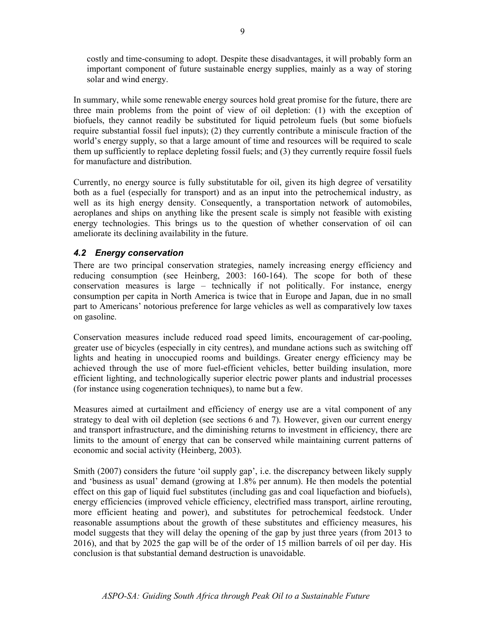costly and time-consuming to adopt. Despite these disadvantages, it will probably form an important component of future sustainable energy supplies, mainly as a way of storing solar and wind energy.

In summary, while some renewable energy sources hold great promise for the future, there are three main problems from the point of view of oil depletion: (1) with the exception of biofuels, they cannot readily be substituted for liquid petroleum fuels (but some biofuels require substantial fossil fuel inputs); (2) they currently contribute a miniscule fraction of the world's energy supply, so that a large amount of time and resources will be required to scale them up sufficiently to replace depleting fossil fuels; and (3) they currently require fossil fuels for manufacture and distribution.

Currently, no energy source is fully substitutable for oil, given its high degree of versatility both as a fuel (especially for transport) and as an input into the petrochemical industry, as well as its high energy density. Consequently, a transportation network of automobiles, aeroplanes and ships on anything like the present scale is simply not feasible with existing energy technologies. This brings us to the question of whether conservation of oil can ameliorate its declining availability in the future.

#### 4.2 Energy conservation

There are two principal conservation strategies, namely increasing energy efficiency and reducing consumption (see Heinberg, 2003: 160-164). The scope for both of these conservation measures is large – technically if not politically. For instance, energy consumption per capita in North America is twice that in Europe and Japan, due in no small part to Americans' notorious preference for large vehicles as well as comparatively low taxes on gasoline.

Conservation measures include reduced road speed limits, encouragement of car-pooling, greater use of bicycles (especially in city centres), and mundane actions such as switching off lights and heating in unoccupied rooms and buildings. Greater energy efficiency may be achieved through the use of more fuel-efficient vehicles, better building insulation, more efficient lighting, and technologically superior electric power plants and industrial processes (for instance using cogeneration techniques), to name but a few.

Measures aimed at curtailment and efficiency of energy use are a vital component of any strategy to deal with oil depletion (see sections 6 and 7). However, given our current energy and transport infrastructure, and the diminishing returns to investment in efficiency, there are limits to the amount of energy that can be conserved while maintaining current patterns of economic and social activity (Heinberg, 2003).

Smith (2007) considers the future 'oil supply gap', i.e. the discrepancy between likely supply and 'business as usual' demand (growing at 1.8% per annum). He then models the potential effect on this gap of liquid fuel substitutes (including gas and coal liquefaction and biofuels), energy efficiencies (improved vehicle efficiency, electrified mass transport, airline rerouting, more efficient heating and power), and substitutes for petrochemical feedstock. Under reasonable assumptions about the growth of these substitutes and efficiency measures, his model suggests that they will delay the opening of the gap by just three years (from 2013 to 2016), and that by 2025 the gap will be of the order of 15 million barrels of oil per day. His conclusion is that substantial demand destruction is unavoidable.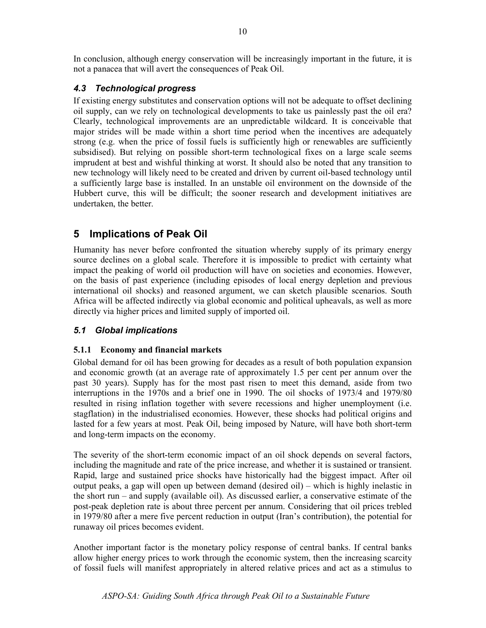In conclusion, although energy conservation will be increasingly important in the future, it is not a panacea that will avert the consequences of Peak Oil.

#### 4.3 Technological progress

If existing energy substitutes and conservation options will not be adequate to offset declining oil supply, can we rely on technological developments to take us painlessly past the oil era? Clearly, technological improvements are an unpredictable wildcard. It is conceivable that major strides will be made within a short time period when the incentives are adequately strong (e.g. when the price of fossil fuels is sufficiently high or renewables are sufficiently subsidised). But relying on possible short-term technological fixes on a large scale seems imprudent at best and wishful thinking at worst. It should also be noted that any transition to new technology will likely need to be created and driven by current oil-based technology until a sufficiently large base is installed. In an unstable oil environment on the downside of the Hubbert curve, this will be difficult; the sooner research and development initiatives are undertaken, the better.

## 5 Implications of Peak Oil

Humanity has never before confronted the situation whereby supply of its primary energy source declines on a global scale. Therefore it is impossible to predict with certainty what impact the peaking of world oil production will have on societies and economies. However, on the basis of past experience (including episodes of local energy depletion and previous international oil shocks) and reasoned argument, we can sketch plausible scenarios. South Africa will be affected indirectly via global economic and political upheavals, as well as more directly via higher prices and limited supply of imported oil.

#### 5.1 Global implications

#### 5.1.1 Economy and financial markets

Global demand for oil has been growing for decades as a result of both population expansion and economic growth (at an average rate of approximately 1.5 per cent per annum over the past 30 years). Supply has for the most past risen to meet this demand, aside from two interruptions in the 1970s and a brief one in 1990. The oil shocks of 1973/4 and 1979/80 resulted in rising inflation together with severe recessions and higher unemployment (i.e. stagflation) in the industrialised economies. However, these shocks had political origins and lasted for a few years at most. Peak Oil, being imposed by Nature, will have both short-term and long-term impacts on the economy.

The severity of the short-term economic impact of an oil shock depends on several factors, including the magnitude and rate of the price increase, and whether it is sustained or transient. Rapid, large and sustained price shocks have historically had the biggest impact. After oil output peaks, a gap will open up between demand (desired oil) – which is highly inelastic in the short run – and supply (available oil). As discussed earlier, a conservative estimate of the post-peak depletion rate is about three percent per annum. Considering that oil prices trebled in 1979/80 after a mere five percent reduction in output (Iran's contribution), the potential for runaway oil prices becomes evident.

Another important factor is the monetary policy response of central banks. If central banks allow higher energy prices to work through the economic system, then the increasing scarcity of fossil fuels will manifest appropriately in altered relative prices and act as a stimulus to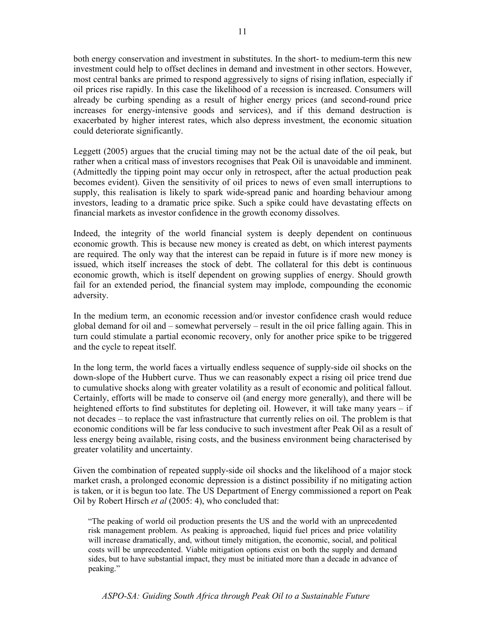both energy conservation and investment in substitutes. In the short- to medium-term this new investment could help to offset declines in demand and investment in other sectors. However, most central banks are primed to respond aggressively to signs of rising inflation, especially if oil prices rise rapidly. In this case the likelihood of a recession is increased. Consumers will already be curbing spending as a result of higher energy prices (and second-round price increases for energy-intensive goods and services), and if this demand destruction is exacerbated by higher interest rates, which also depress investment, the economic situation could deteriorate significantly.

Leggett (2005) argues that the crucial timing may not be the actual date of the oil peak, but rather when a critical mass of investors recognises that Peak Oil is unavoidable and imminent. (Admittedly the tipping point may occur only in retrospect, after the actual production peak becomes evident). Given the sensitivity of oil prices to news of even small interruptions to supply, this realisation is likely to spark wide-spread panic and hoarding behaviour among investors, leading to a dramatic price spike. Such a spike could have devastating effects on financial markets as investor confidence in the growth economy dissolves.

Indeed, the integrity of the world financial system is deeply dependent on continuous economic growth. This is because new money is created as debt, on which interest payments are required. The only way that the interest can be repaid in future is if more new money is issued, which itself increases the stock of debt. The collateral for this debt is continuous economic growth, which is itself dependent on growing supplies of energy. Should growth fail for an extended period, the financial system may implode, compounding the economic adversity.

In the medium term, an economic recession and/or investor confidence crash would reduce global demand for oil and – somewhat perversely – result in the oil price falling again. This in turn could stimulate a partial economic recovery, only for another price spike to be triggered and the cycle to repeat itself.

In the long term, the world faces a virtually endless sequence of supply-side oil shocks on the down-slope of the Hubbert curve. Thus we can reasonably expect a rising oil price trend due to cumulative shocks along with greater volatility as a result of economic and political fallout. Certainly, efforts will be made to conserve oil (and energy more generally), and there will be heightened efforts to find substitutes for depleting oil. However, it will take many years – if not decades – to replace the vast infrastructure that currently relies on oil. The problem is that economic conditions will be far less conducive to such investment after Peak Oil as a result of less energy being available, rising costs, and the business environment being characterised by greater volatility and uncertainty.

Given the combination of repeated supply-side oil shocks and the likelihood of a major stock market crash, a prolonged economic depression is a distinct possibility if no mitigating action is taken, or it is begun too late. The US Department of Energy commissioned a report on Peak Oil by Robert Hirsch et al (2005: 4), who concluded that:

"The peaking of world oil production presents the US and the world with an unprecedented risk management problem. As peaking is approached, liquid fuel prices and price volatility will increase dramatically, and, without timely mitigation, the economic, social, and political costs will be unprecedented. Viable mitigation options exist on both the supply and demand sides, but to have substantial impact, they must be initiated more than a decade in advance of peaking."

ASPO-SA: Guiding South Africa through Peak Oil to a Sustainable Future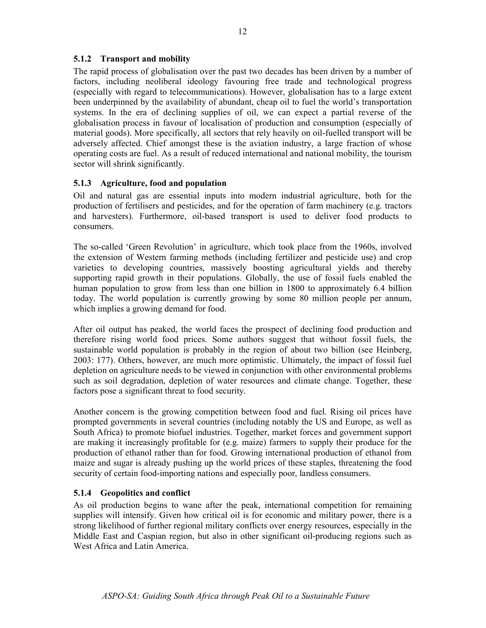#### 5.1.2 Transport and mobility

The rapid process of globalisation over the past two decades has been driven by a number of factors, including neoliberal ideology favouring free trade and technological progress (especially with regard to telecommunications). However, globalisation has to a large extent been underpinned by the availability of abundant, cheap oil to fuel the world's transportation systems. In the era of declining supplies of oil, we can expect a partial reverse of the globalisation process in favour of localisation of production and consumption (especially of material goods). More specifically, all sectors that rely heavily on oil-fuelled transport will be adversely affected. Chief amongst these is the aviation industry, a large fraction of whose operating costs are fuel. As a result of reduced international and national mobility, the tourism sector will shrink significantly.

#### 5.1.3 Agriculture, food and population

Oil and natural gas are essential inputs into modern industrial agriculture, both for the production of fertilisers and pesticides, and for the operation of farm machinery (e.g. tractors and harvesters). Furthermore, oil-based transport is used to deliver food products to consumers.

The so-called 'Green Revolution' in agriculture, which took place from the 1960s, involved the extension of Western farming methods (including fertilizer and pesticide use) and crop varieties to developing countries, massively boosting agricultural yields and thereby supporting rapid growth in their populations. Globally, the use of fossil fuels enabled the human population to grow from less than one billion in 1800 to approximately 6.4 billion today. The world population is currently growing by some 80 million people per annum, which implies a growing demand for food.

After oil output has peaked, the world faces the prospect of declining food production and therefore rising world food prices. Some authors suggest that without fossil fuels, the sustainable world population is probably in the region of about two billion (see Heinberg, 2003: 177). Others, however, are much more optimistic. Ultimately, the impact of fossil fuel depletion on agriculture needs to be viewed in conjunction with other environmental problems such as soil degradation, depletion of water resources and climate change. Together, these factors pose a significant threat to food security.

Another concern is the growing competition between food and fuel. Rising oil prices have prompted governments in several countries (including notably the US and Europe, as well as South Africa) to promote biofuel industries. Together, market forces and government support are making it increasingly profitable for (e.g. maize) farmers to supply their produce for the production of ethanol rather than for food. Growing international production of ethanol from maize and sugar is already pushing up the world prices of these staples, threatening the food security of certain food-importing nations and especially poor, landless consumers.

#### 5.1.4 Geopolitics and conflict

As oil production begins to wane after the peak, international competition for remaining supplies will intensify. Given how critical oil is for economic and military power, there is a strong likelihood of further regional military conflicts over energy resources, especially in the Middle East and Caspian region, but also in other significant oil-producing regions such as West Africa and Latin America.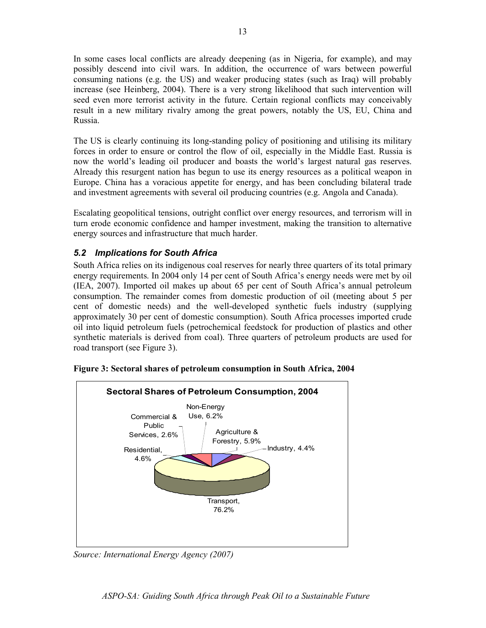In some cases local conflicts are already deepening (as in Nigeria, for example), and may possibly descend into civil wars. In addition, the occurrence of wars between powerful consuming nations (e.g. the US) and weaker producing states (such as Iraq) will probably increase (see Heinberg, 2004). There is a very strong likelihood that such intervention will seed even more terrorist activity in the future. Certain regional conflicts may conceivably result in a new military rivalry among the great powers, notably the US, EU, China and Russia.

The US is clearly continuing its long-standing policy of positioning and utilising its military forces in order to ensure or control the flow of oil, especially in the Middle East. Russia is now the world's leading oil producer and boasts the world's largest natural gas reserves. Already this resurgent nation has begun to use its energy resources as a political weapon in Europe. China has a voracious appetite for energy, and has been concluding bilateral trade and investment agreements with several oil producing countries (e.g. Angola and Canada).

Escalating geopolitical tensions, outright conflict over energy resources, and terrorism will in turn erode economic confidence and hamper investment, making the transition to alternative energy sources and infrastructure that much harder.

#### 5.2 Implications for South Africa

South Africa relies on its indigenous coal reserves for nearly three quarters of its total primary energy requirements. In 2004 only 14 per cent of South Africa's energy needs were met by oil (IEA, 2007). Imported oil makes up about 65 per cent of South Africa's annual petroleum consumption. The remainder comes from domestic production of oil (meeting about 5 per cent of domestic needs) and the well-developed synthetic fuels industry (supplying approximately 30 per cent of domestic consumption). South Africa processes imported crude oil into liquid petroleum fuels (petrochemical feedstock for production of plastics and other synthetic materials is derived from coal). Three quarters of petroleum products are used for road transport (see Figure 3).



Figure 3: Sectoral shares of petroleum consumption in South Africa, 2004

Source: International Energy Agency (2007)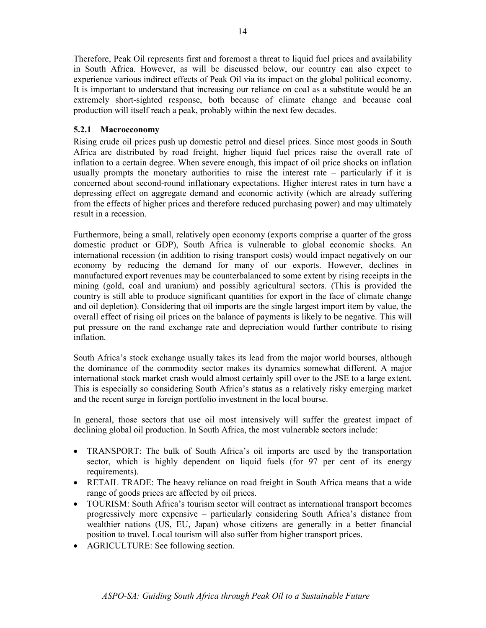Therefore, Peak Oil represents first and foremost a threat to liquid fuel prices and availability in South Africa. However, as will be discussed below, our country can also expect to experience various indirect effects of Peak Oil via its impact on the global political economy. It is important to understand that increasing our reliance on coal as a substitute would be an extremely short-sighted response, both because of climate change and because coal production will itself reach a peak, probably within the next few decades.

#### 5.2.1 Macroeconomy

Rising crude oil prices push up domestic petrol and diesel prices. Since most goods in South Africa are distributed by road freight, higher liquid fuel prices raise the overall rate of inflation to a certain degree. When severe enough, this impact of oil price shocks on inflation usually prompts the monetary authorities to raise the interest rate – particularly if it is concerned about second-round inflationary expectations. Higher interest rates in turn have a depressing effect on aggregate demand and economic activity (which are already suffering from the effects of higher prices and therefore reduced purchasing power) and may ultimately result in a recession.

Furthermore, being a small, relatively open economy (exports comprise a quarter of the gross domestic product or GDP), South Africa is vulnerable to global economic shocks. An international recession (in addition to rising transport costs) would impact negatively on our economy by reducing the demand for many of our exports. However, declines in manufactured export revenues may be counterbalanced to some extent by rising receipts in the mining (gold, coal and uranium) and possibly agricultural sectors. (This is provided the country is still able to produce significant quantities for export in the face of climate change and oil depletion). Considering that oil imports are the single largest import item by value, the overall effect of rising oil prices on the balance of payments is likely to be negative. This will put pressure on the rand exchange rate and depreciation would further contribute to rising inflation.

South Africa's stock exchange usually takes its lead from the major world bourses, although the dominance of the commodity sector makes its dynamics somewhat different. A major international stock market crash would almost certainly spill over to the JSE to a large extent. This is especially so considering South Africa's status as a relatively risky emerging market and the recent surge in foreign portfolio investment in the local bourse.

In general, those sectors that use oil most intensively will suffer the greatest impact of declining global oil production. In South Africa, the most vulnerable sectors include:

- TRANSPORT: The bulk of South Africa's oil imports are used by the transportation sector, which is highly dependent on liquid fuels (for 97 per cent of its energy requirements).
- RETAIL TRADE: The heavy reliance on road freight in South Africa means that a wide range of goods prices are affected by oil prices.
- TOURISM: South Africa's tourism sector will contract as international transport becomes progressively more expensive – particularly considering South Africa's distance from wealthier nations (US, EU, Japan) whose citizens are generally in a better financial position to travel. Local tourism will also suffer from higher transport prices.
- AGRICULTURE: See following section.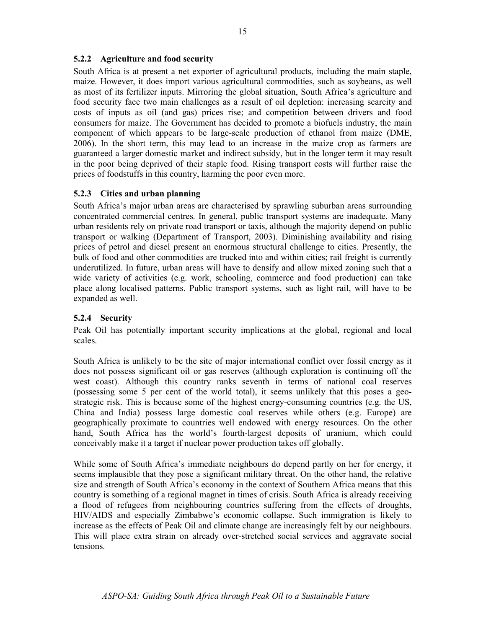#### 5.2.2 Agriculture and food security

South Africa is at present a net exporter of agricultural products, including the main staple, maize. However, it does import various agricultural commodities, such as soybeans, as well as most of its fertilizer inputs. Mirroring the global situation, South Africa's agriculture and food security face two main challenges as a result of oil depletion: increasing scarcity and costs of inputs as oil (and gas) prices rise; and competition between drivers and food consumers for maize. The Government has decided to promote a biofuels industry, the main component of which appears to be large-scale production of ethanol from maize (DME, 2006). In the short term, this may lead to an increase in the maize crop as farmers are guaranteed a larger domestic market and indirect subsidy, but in the longer term it may result in the poor being deprived of their staple food. Rising transport costs will further raise the prices of foodstuffs in this country, harming the poor even more.

#### 5.2.3 Cities and urban planning

South Africa's major urban areas are characterised by sprawling suburban areas surrounding concentrated commercial centres. In general, public transport systems are inadequate. Many urban residents rely on private road transport or taxis, although the majority depend on public transport or walking (Department of Transport, 2003). Diminishing availability and rising prices of petrol and diesel present an enormous structural challenge to cities. Presently, the bulk of food and other commodities are trucked into and within cities; rail freight is currently underutilized. In future, urban areas will have to densify and allow mixed zoning such that a wide variety of activities (e.g. work, schooling, commerce and food production) can take place along localised patterns. Public transport systems, such as light rail, will have to be expanded as well.

#### 5.2.4 Security

Peak Oil has potentially important security implications at the global, regional and local scales.

South Africa is unlikely to be the site of major international conflict over fossil energy as it does not possess significant oil or gas reserves (although exploration is continuing off the west coast). Although this country ranks seventh in terms of national coal reserves (possessing some 5 per cent of the world total), it seems unlikely that this poses a geostrategic risk. This is because some of the highest energy-consuming countries (e.g. the US, China and India) possess large domestic coal reserves while others (e.g. Europe) are geographically proximate to countries well endowed with energy resources. On the other hand, South Africa has the world's fourth-largest deposits of uranium, which could conceivably make it a target if nuclear power production takes off globally.

While some of South Africa's immediate neighbours do depend partly on her for energy, it seems implausible that they pose a significant military threat. On the other hand, the relative size and strength of South Africa's economy in the context of Southern Africa means that this country is something of a regional magnet in times of crisis. South Africa is already receiving a flood of refugees from neighbouring countries suffering from the effects of droughts, HIV/AIDS and especially Zimbabwe's economic collapse. Such immigration is likely to increase as the effects of Peak Oil and climate change are increasingly felt by our neighbours. This will place extra strain on already over-stretched social services and aggravate social tensions.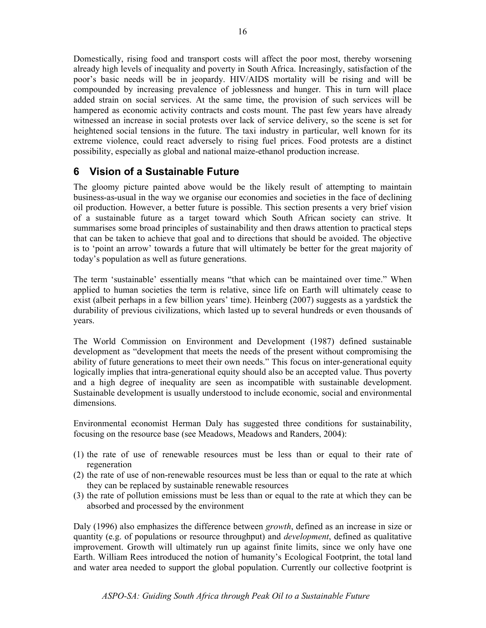Domestically, rising food and transport costs will affect the poor most, thereby worsening already high levels of inequality and poverty in South Africa. Increasingly, satisfaction of the poor's basic needs will be in jeopardy. HIV/AIDS mortality will be rising and will be compounded by increasing prevalence of joblessness and hunger. This in turn will place added strain on social services. At the same time, the provision of such services will be hampered as economic activity contracts and costs mount. The past few years have already witnessed an increase in social protests over lack of service delivery, so the scene is set for heightened social tensions in the future. The taxi industry in particular, well known for its extreme violence, could react adversely to rising fuel prices. Food protests are a distinct possibility, especially as global and national maize-ethanol production increase.

### 6 Vision of a Sustainable Future

The gloomy picture painted above would be the likely result of attempting to maintain business-as-usual in the way we organise our economies and societies in the face of declining oil production. However, a better future is possible. This section presents a very brief vision of a sustainable future as a target toward which South African society can strive. It summarises some broad principles of sustainability and then draws attention to practical steps that can be taken to achieve that goal and to directions that should be avoided. The objective is to 'point an arrow' towards a future that will ultimately be better for the great majority of today's population as well as future generations.

The term 'sustainable' essentially means "that which can be maintained over time." When applied to human societies the term is relative, since life on Earth will ultimately cease to exist (albeit perhaps in a few billion years' time). Heinberg (2007) suggests as a yardstick the durability of previous civilizations, which lasted up to several hundreds or even thousands of years.

The World Commission on Environment and Development (1987) defined sustainable development as "development that meets the needs of the present without compromising the ability of future generations to meet their own needs." This focus on inter-generational equity logically implies that intra-generational equity should also be an accepted value. Thus poverty and a high degree of inequality are seen as incompatible with sustainable development. Sustainable development is usually understood to include economic, social and environmental dimensions.

Environmental economist Herman Daly has suggested three conditions for sustainability, focusing on the resource base (see Meadows, Meadows and Randers, 2004):

- (1) the rate of use of renewable resources must be less than or equal to their rate of regeneration
- (2) the rate of use of non-renewable resources must be less than or equal to the rate at which they can be replaced by sustainable renewable resources
- (3) the rate of pollution emissions must be less than or equal to the rate at which they can be absorbed and processed by the environment

Daly (1996) also emphasizes the difference between *growth*, defined as an increase in size or quantity (e.g. of populations or resource throughput) and development, defined as qualitative improvement. Growth will ultimately run up against finite limits, since we only have one Earth. William Rees introduced the notion of humanity's Ecological Footprint, the total land and water area needed to support the global population. Currently our collective footprint is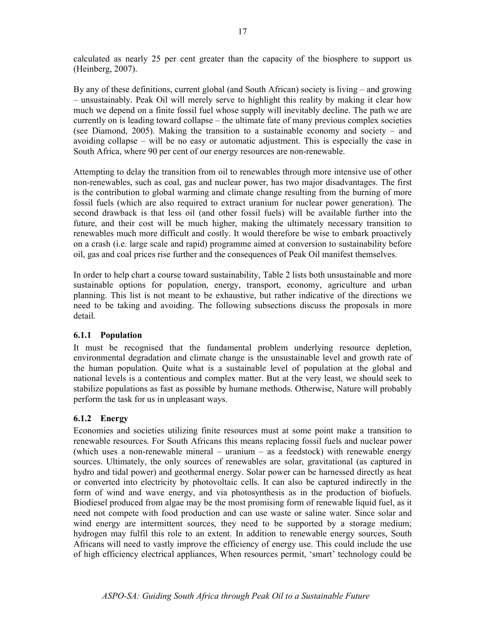calculated as nearly 25 per cent greater than the capacity of the biosphere to support us (Heinberg, 2007).

By any of these definitions, current global (and South African) society is living – and growing – unsustainably. Peak Oil will merely serve to highlight this reality by making it clear how much we depend on a finite fossil fuel whose supply will inevitably decline. The path we are currently on is leading toward collapse – the ultimate fate of many previous complex societies (see Diamond, 2005). Making the transition to a sustainable economy and society – and avoiding collapse – will be no easy or automatic adjustment. This is especially the case in South Africa, where 90 per cent of our energy resources are non-renewable.

Attempting to delay the transition from oil to renewables through more intensive use of other non-renewables, such as coal, gas and nuclear power, has two major disadvantages. The first is the contribution to global warming and climate change resulting from the burning of more fossil fuels (which are also required to extract uranium for nuclear power generation). The second drawback is that less oil (and other fossil fuels) will be available further into the future, and their cost will be much higher, making the ultimately necessary transition to renewables much more difficult and costly. It would therefore be wise to embark proactively on a crash (i.e. large scale and rapid) programme aimed at conversion to sustainability before oil, gas and coal prices rise further and the consequences of Peak Oil manifest themselves.

In order to help chart a course toward sustainability, Table 2 lists both unsustainable and more sustainable options for population, energy, transport, economy, agriculture and urban planning. This list is not meant to be exhaustive, but rather indicative of the directions we need to be taking and avoiding. The following subsections discuss the proposals in more detail.

#### 6.1.1 Population

It must be recognised that the fundamental problem underlying resource depletion, environmental degradation and climate change is the unsustainable level and growth rate of the human population. Quite what is a sustainable level of population at the global and national levels is a contentious and complex matter. But at the very least, we should seek to stabilize populations as fast as possible by humane methods. Otherwise, Nature will probably perform the task for us in unpleasant ways.

#### 6.1.2 Energy

Economies and societies utilizing finite resources must at some point make a transition to renewable resources. For South Africans this means replacing fossil fuels and nuclear power (which uses a non-renewable mineral – uranium – as a feedstock) with renewable energy sources. Ultimately, the only sources of renewables are solar, gravitational (as captured in hydro and tidal power) and geothermal energy. Solar power can be harnessed directly as heat or converted into electricity by photovoltaic cells. It can also be captured indirectly in the form of wind and wave energy, and via photosynthesis as in the production of biofuels. Biodiesel produced from algae may be the most promising form of renewable liquid fuel, as it need not compete with food production and can use waste or saline water. Since solar and wind energy are intermittent sources, they need to be supported by a storage medium; hydrogen may fulfil this role to an extent. In addition to renewable energy sources, South Africans will need to vastly improve the efficiency of energy use. This could include the use of high efficiency electrical appliances, When resources permit, 'smart' technology could be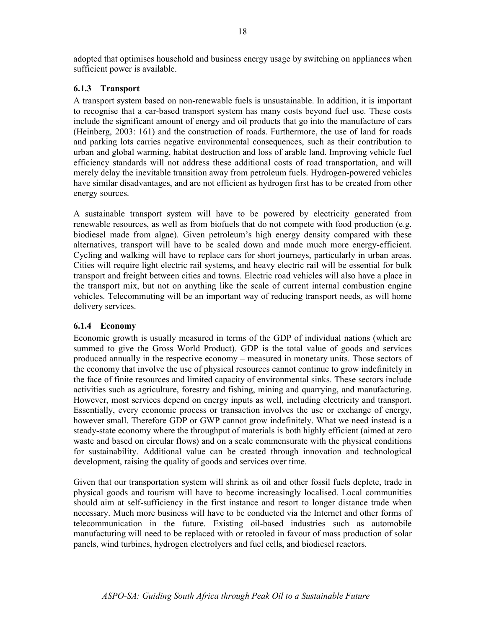adopted that optimises household and business energy usage by switching on appliances when sufficient power is available.

#### 6.1.3 Transport

A transport system based on non-renewable fuels is unsustainable. In addition, it is important to recognise that a car-based transport system has many costs beyond fuel use. These costs include the significant amount of energy and oil products that go into the manufacture of cars (Heinberg, 2003: 161) and the construction of roads. Furthermore, the use of land for roads and parking lots carries negative environmental consequences, such as their contribution to urban and global warming, habitat destruction and loss of arable land. Improving vehicle fuel efficiency standards will not address these additional costs of road transportation, and will merely delay the inevitable transition away from petroleum fuels. Hydrogen-powered vehicles have similar disadvantages, and are not efficient as hydrogen first has to be created from other energy sources.

A sustainable transport system will have to be powered by electricity generated from renewable resources, as well as from biofuels that do not compete with food production (e.g. biodiesel made from algae). Given petroleum's high energy density compared with these alternatives, transport will have to be scaled down and made much more energy-efficient. Cycling and walking will have to replace cars for short journeys, particularly in urban areas. Cities will require light electric rail systems, and heavy electric rail will be essential for bulk transport and freight between cities and towns. Electric road vehicles will also have a place in the transport mix, but not on anything like the scale of current internal combustion engine vehicles. Telecommuting will be an important way of reducing transport needs, as will home delivery services.

#### 6.1.4 Economy

Economic growth is usually measured in terms of the GDP of individual nations (which are summed to give the Gross World Product). GDP is the total value of goods and services produced annually in the respective economy – measured in monetary units. Those sectors of the economy that involve the use of physical resources cannot continue to grow indefinitely in the face of finite resources and limited capacity of environmental sinks. These sectors include activities such as agriculture, forestry and fishing, mining and quarrying, and manufacturing. However, most services depend on energy inputs as well, including electricity and transport. Essentially, every economic process or transaction involves the use or exchange of energy, however small. Therefore GDP or GWP cannot grow indefinitely. What we need instead is a steady-state economy where the throughput of materials is both highly efficient (aimed at zero waste and based on circular flows) and on a scale commensurate with the physical conditions for sustainability. Additional value can be created through innovation and technological development, raising the quality of goods and services over time.

Given that our transportation system will shrink as oil and other fossil fuels deplete, trade in physical goods and tourism will have to become increasingly localised. Local communities should aim at self-sufficiency in the first instance and resort to longer distance trade when necessary. Much more business will have to be conducted via the Internet and other forms of telecommunication in the future. Existing oil-based industries such as automobile manufacturing will need to be replaced with or retooled in favour of mass production of solar panels, wind turbines, hydrogen electrolyers and fuel cells, and biodiesel reactors.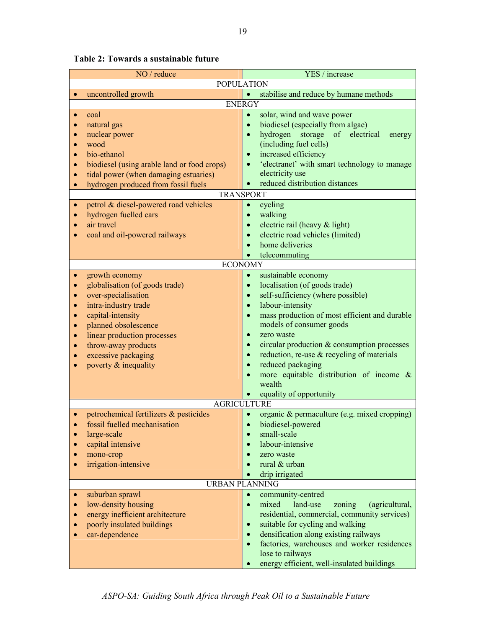| NO / reduce                                                                                                                                                                                                                                                                                                                                                                         | YES / increase                                                                                                                                                                                                                                                                                                                                                                                                                                                                                                                                  |  |  |  |  |
|-------------------------------------------------------------------------------------------------------------------------------------------------------------------------------------------------------------------------------------------------------------------------------------------------------------------------------------------------------------------------------------|-------------------------------------------------------------------------------------------------------------------------------------------------------------------------------------------------------------------------------------------------------------------------------------------------------------------------------------------------------------------------------------------------------------------------------------------------------------------------------------------------------------------------------------------------|--|--|--|--|
| <b>POPULATION</b>                                                                                                                                                                                                                                                                                                                                                                   |                                                                                                                                                                                                                                                                                                                                                                                                                                                                                                                                                 |  |  |  |  |
| uncontrolled growth                                                                                                                                                                                                                                                                                                                                                                 | stabilise and reduce by humane methods                                                                                                                                                                                                                                                                                                                                                                                                                                                                                                          |  |  |  |  |
| <b>ENERGY</b>                                                                                                                                                                                                                                                                                                                                                                       |                                                                                                                                                                                                                                                                                                                                                                                                                                                                                                                                                 |  |  |  |  |
| coal<br>$\bullet$<br>natural gas<br>$\bullet$<br>nuclear power<br>$\bullet$<br>wood<br>$\bullet$<br>bio-ethanol<br>$\bullet$<br>biodiesel (using arable land or food crops)<br>$\bullet$<br>tidal power (when damaging estuaries)<br>$\bullet$<br>hydrogen produced from fossil fuels<br>$\bullet$<br><b>TRANSPORT</b>                                                              | solar, wind and wave power<br>$\bullet$<br>biodiesel (especially from algae)<br>$\bullet$<br>hydrogen storage of electrical<br>$\bullet$<br>energy<br>(including fuel cells)<br>increased efficiency<br>$\bullet$<br>'electranet' with smart technology to manage<br>$\bullet$<br>electricity use<br>reduced distribution distances                                                                                                                                                                                                             |  |  |  |  |
|                                                                                                                                                                                                                                                                                                                                                                                     |                                                                                                                                                                                                                                                                                                                                                                                                                                                                                                                                                 |  |  |  |  |
| petrol & diesel-powered road vehicles<br>$\bullet$<br>hydrogen fuelled cars<br>$\bullet$<br>air travel<br>$\bullet$<br>coal and oil-powered railways<br>$\bullet$                                                                                                                                                                                                                   | cycling<br>$\bullet$<br>walking<br>$\bullet$<br>electric rail (heavy & light)<br>$\bullet$<br>electric road vehicles (limited)<br>$\bullet$<br>home deliveries<br>$\bullet$<br>telecommuting                                                                                                                                                                                                                                                                                                                                                    |  |  |  |  |
| <b>ECONOMY</b>                                                                                                                                                                                                                                                                                                                                                                      |                                                                                                                                                                                                                                                                                                                                                                                                                                                                                                                                                 |  |  |  |  |
| growth economy<br>$\bullet$<br>globalisation (of goods trade)<br>$\bullet$<br>over-specialisation<br>$\bullet$<br>intra-industry trade<br>$\bullet$<br>capital-intensity<br>$\bullet$<br>planned obsolescence<br>$\bullet$<br>linear production processes<br>$\bullet$<br>throw-away products<br>$\bullet$<br>excessive packaging<br>$\bullet$<br>poverty & inequality<br>$\bullet$ | sustainable economy<br>$\bullet$<br>localisation (of goods trade)<br>$\bullet$<br>self-sufficiency (where possible)<br>$\bullet$<br>labour-intensity<br>$\bullet$<br>mass production of most efficient and durable<br>$\bullet$<br>models of consumer goods<br>zero waste<br>$\bullet$<br>circular production & consumption processes<br>$\bullet$<br>reduction, re-use $\&$ recycling of materials<br>$\bullet$<br>reduced packaging<br>$\bullet$<br>more equitable distribution of income &<br>$\bullet$<br>wealth<br>equality of opportunity |  |  |  |  |
| <b>AGRICULTURE</b>                                                                                                                                                                                                                                                                                                                                                                  |                                                                                                                                                                                                                                                                                                                                                                                                                                                                                                                                                 |  |  |  |  |
| petrochemical fertilizers & pesticides<br>• fossil fuelled mechanisation<br>large-scale<br>$\bullet$<br>capital intensive<br>$\bullet$<br>mono-crop<br>$\bullet$<br>irrigation-intensive<br>$\bullet$                                                                                                                                                                               | organic & permaculture (e.g. mixed cropping)<br>$\bullet$<br>• biodiesel-powered<br>small-scale<br>$\bullet$<br>labour-intensive<br>$\bullet$<br>zero waste<br>$\bullet$<br>rural & urban<br>$\bullet$<br>drip irrigated                                                                                                                                                                                                                                                                                                                        |  |  |  |  |
| <b>URBAN PLANNING</b>                                                                                                                                                                                                                                                                                                                                                               |                                                                                                                                                                                                                                                                                                                                                                                                                                                                                                                                                 |  |  |  |  |
| suburban sprawl<br>$\bullet$<br>low-density housing<br>$\bullet$<br>energy inefficient architecture<br>$\bullet$<br>poorly insulated buildings<br>$\bullet$<br>car-dependence<br>$\bullet$                                                                                                                                                                                          | community-centred<br>$\bullet$<br>mixed<br>land-use<br>(agricultural,<br>zoning<br>$\bullet$<br>residential, commercial, community services)<br>suitable for cycling and walking<br>$\bullet$<br>densification along existing railways<br>$\bullet$<br>factories, warehouses and worker residences<br>$\bullet$<br>lose to railways                                                                                                                                                                                                             |  |  |  |  |

Table 2: Towards a sustainable future

• energy efficient, well-insulated buildings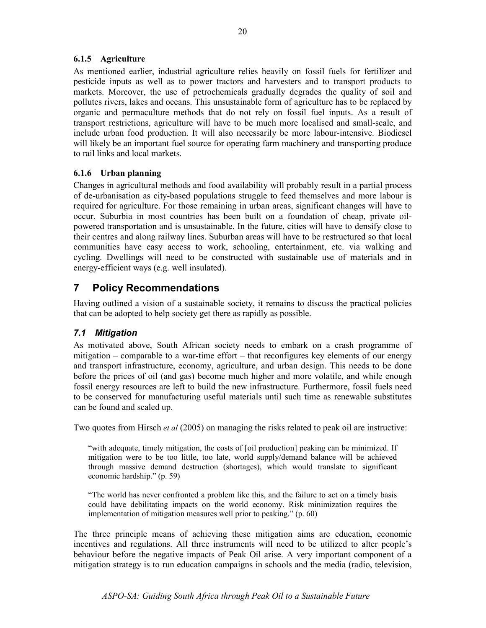#### 6.1.5 Agriculture

As mentioned earlier, industrial agriculture relies heavily on fossil fuels for fertilizer and pesticide inputs as well as to power tractors and harvesters and to transport products to markets. Moreover, the use of petrochemicals gradually degrades the quality of soil and pollutes rivers, lakes and oceans. This unsustainable form of agriculture has to be replaced by organic and permaculture methods that do not rely on fossil fuel inputs. As a result of transport restrictions, agriculture will have to be much more localised and small-scale, and include urban food production. It will also necessarily be more labour-intensive. Biodiesel will likely be an important fuel source for operating farm machinery and transporting produce to rail links and local markets.

#### 6.1.6 Urban planning

Changes in agricultural methods and food availability will probably result in a partial process of de-urbanisation as city-based populations struggle to feed themselves and more labour is required for agriculture. For those remaining in urban areas, significant changes will have to occur. Suburbia in most countries has been built on a foundation of cheap, private oilpowered transportation and is unsustainable. In the future, cities will have to densify close to their centres and along railway lines. Suburban areas will have to be restructured so that local communities have easy access to work, schooling, entertainment, etc. via walking and cycling. Dwellings will need to be constructed with sustainable use of materials and in energy-efficient ways (e.g. well insulated).

## 7 Policy Recommendations

Having outlined a vision of a sustainable society, it remains to discuss the practical policies that can be adopted to help society get there as rapidly as possible.

#### 7.1 Mitigation

As motivated above, South African society needs to embark on a crash programme of mitigation – comparable to a war-time effort – that reconfigures key elements of our energy and transport infrastructure, economy, agriculture, and urban design. This needs to be done before the prices of oil (and gas) become much higher and more volatile, and while enough fossil energy resources are left to build the new infrastructure. Furthermore, fossil fuels need to be conserved for manufacturing useful materials until such time as renewable substitutes can be found and scaled up.

Two quotes from Hirsch et al (2005) on managing the risks related to peak oil are instructive:

"with adequate, timely mitigation, the costs of [oil production] peaking can be minimized. If mitigation were to be too little, too late, world supply/demand balance will be achieved through massive demand destruction (shortages), which would translate to significant economic hardship." (p. 59)

"The world has never confronted a problem like this, and the failure to act on a timely basis could have debilitating impacts on the world economy. Risk minimization requires the implementation of mitigation measures well prior to peaking." (p. 60)

The three principle means of achieving these mitigation aims are education, economic incentives and regulations. All three instruments will need to be utilized to alter people's behaviour before the negative impacts of Peak Oil arise. A very important component of a mitigation strategy is to run education campaigns in schools and the media (radio, television,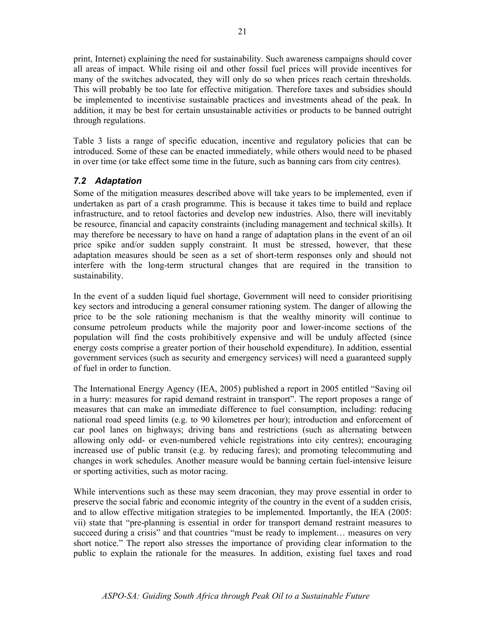print, Internet) explaining the need for sustainability. Such awareness campaigns should cover all areas of impact. While rising oil and other fossil fuel prices will provide incentives for many of the switches advocated, they will only do so when prices reach certain thresholds. This will probably be too late for effective mitigation. Therefore taxes and subsidies should be implemented to incentivise sustainable practices and investments ahead of the peak. In addition, it may be best for certain unsustainable activities or products to be banned outright through regulations.

Table 3 lists a range of specific education, incentive and regulatory policies that can be introduced. Some of these can be enacted immediately, while others would need to be phased in over time (or take effect some time in the future, such as banning cars from city centres).

#### 7.2 Adaptation

Some of the mitigation measures described above will take years to be implemented, even if undertaken as part of a crash programme. This is because it takes time to build and replace infrastructure, and to retool factories and develop new industries. Also, there will inevitably be resource, financial and capacity constraints (including management and technical skills). It may therefore be necessary to have on hand a range of adaptation plans in the event of an oil price spike and/or sudden supply constraint. It must be stressed, however, that these adaptation measures should be seen as a set of short-term responses only and should not interfere with the long-term structural changes that are required in the transition to sustainability.

In the event of a sudden liquid fuel shortage, Government will need to consider prioritising key sectors and introducing a general consumer rationing system. The danger of allowing the price to be the sole rationing mechanism is that the wealthy minority will continue to consume petroleum products while the majority poor and lower-income sections of the population will find the costs prohibitively expensive and will be unduly affected (since energy costs comprise a greater portion of their household expenditure). In addition, essential government services (such as security and emergency services) will need a guaranteed supply of fuel in order to function.

The International Energy Agency (IEA, 2005) published a report in 2005 entitled "Saving oil in a hurry: measures for rapid demand restraint in transport". The report proposes a range of measures that can make an immediate difference to fuel consumption, including: reducing national road speed limits (e.g. to 90 kilometres per hour); introduction and enforcement of car pool lanes on highways; driving bans and restrictions (such as alternating between allowing only odd- or even-numbered vehicle registrations into city centres); encouraging increased use of public transit (e.g. by reducing fares); and promoting telecommuting and changes in work schedules. Another measure would be banning certain fuel-intensive leisure or sporting activities, such as motor racing.

While interventions such as these may seem draconian, they may prove essential in order to preserve the social fabric and economic integrity of the country in the event of a sudden crisis, and to allow effective mitigation strategies to be implemented. Importantly, the IEA (2005: vii) state that "pre-planning is essential in order for transport demand restraint measures to succeed during a crisis" and that countries "must be ready to implement... measures on very short notice." The report also stresses the importance of providing clear information to the public to explain the rationale for the measures. In addition, existing fuel taxes and road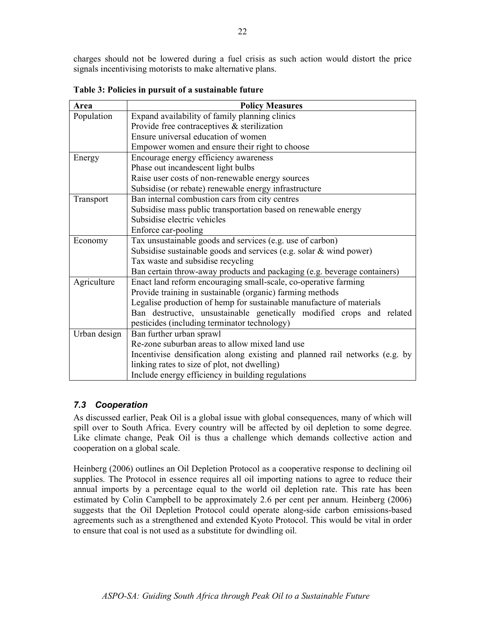charges should not be lowered during a fuel crisis as such action would distort the price signals incentivising motorists to make alternative plans.

| Area         | <b>Policy Measures</b>                                                      |
|--------------|-----------------------------------------------------------------------------|
| Population   | Expand availability of family planning clinics                              |
|              | Provide free contraceptives $\&$ sterilization                              |
|              | Ensure universal education of women                                         |
|              | Empower women and ensure their right to choose                              |
| Energy       | Encourage energy efficiency awareness                                       |
|              | Phase out incandescent light bulbs                                          |
|              | Raise user costs of non-renewable energy sources                            |
|              | Subsidise (or rebate) renewable energy infrastructure                       |
| Transport    | Ban internal combustion cars from city centres                              |
|              | Subsidise mass public transportation based on renewable energy              |
|              | Subsidise electric vehicles                                                 |
|              | Enforce car-pooling                                                         |
| Economy      | Tax unsustainable goods and services (e.g. use of carbon)                   |
|              | Subsidise sustainable goods and services (e.g. solar & wind power)          |
|              | Tax waste and subsidise recycling                                           |
|              | Ban certain throw-away products and packaging (e.g. beverage containers)    |
| Agriculture  | Enact land reform encouraging small-scale, co-operative farming             |
|              | Provide training in sustainable (organic) farming methods                   |
|              | Legalise production of hemp for sustainable manufacture of materials        |
|              | Ban destructive, unsustainable genetically modified crops and related       |
|              | pesticides (including terminator technology)                                |
| Urban design | Ban further urban sprawl                                                    |
|              | Re-zone suburban areas to allow mixed land use                              |
|              | Incentivise densification along existing and planned rail networks (e.g. by |
|              | linking rates to size of plot, not dwelling)                                |
|              | Include energy efficiency in building regulations                           |

Table 3: Policies in pursuit of a sustainable future

## 7.3 Cooperation

As discussed earlier, Peak Oil is a global issue with global consequences, many of which will spill over to South Africa. Every country will be affected by oil depletion to some degree. Like climate change, Peak Oil is thus a challenge which demands collective action and cooperation on a global scale.

Heinberg (2006) outlines an Oil Depletion Protocol as a cooperative response to declining oil supplies. The Protocol in essence requires all oil importing nations to agree to reduce their annual imports by a percentage equal to the world oil depletion rate. This rate has been estimated by Colin Campbell to be approximately 2.6 per cent per annum. Heinberg (2006) suggests that the Oil Depletion Protocol could operate along-side carbon emissions-based agreements such as a strengthened and extended Kyoto Protocol. This would be vital in order to ensure that coal is not used as a substitute for dwindling oil.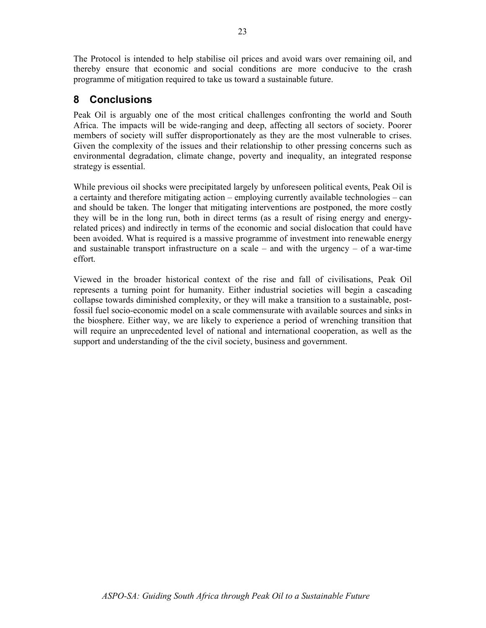The Protocol is intended to help stabilise oil prices and avoid wars over remaining oil, and thereby ensure that economic and social conditions are more conducive to the crash programme of mitigation required to take us toward a sustainable future.

## 8 Conclusions

Peak Oil is arguably one of the most critical challenges confronting the world and South Africa. The impacts will be wide-ranging and deep, affecting all sectors of society. Poorer members of society will suffer disproportionately as they are the most vulnerable to crises. Given the complexity of the issues and their relationship to other pressing concerns such as environmental degradation, climate change, poverty and inequality, an integrated response strategy is essential.

While previous oil shocks were precipitated largely by unforeseen political events, Peak Oil is a certainty and therefore mitigating action – employing currently available technologies – can and should be taken. The longer that mitigating interventions are postponed, the more costly they will be in the long run, both in direct terms (as a result of rising energy and energyrelated prices) and indirectly in terms of the economic and social dislocation that could have been avoided. What is required is a massive programme of investment into renewable energy and sustainable transport infrastructure on a scale – and with the urgency – of a war-time effort.

Viewed in the broader historical context of the rise and fall of civilisations, Peak Oil represents a turning point for humanity. Either industrial societies will begin a cascading collapse towards diminished complexity, or they will make a transition to a sustainable, postfossil fuel socio-economic model on a scale commensurate with available sources and sinks in the biosphere. Either way, we are likely to experience a period of wrenching transition that will require an unprecedented level of national and international cooperation, as well as the support and understanding of the the civil society, business and government.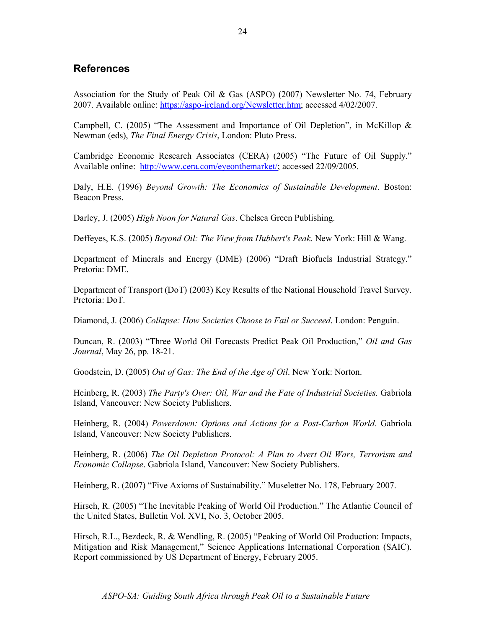## References

Association for the Study of Peak Oil & Gas (ASPO) (2007) Newsletter No. 74, February 2007. Available online: https://aspo-ireland.org/Newsletter.htm; accessed 4/02/2007.

Campbell, C. (2005) "The Assessment and Importance of Oil Depletion", in McKillop  $\&$ Newman (eds), The Final Energy Crisis, London: Pluto Press.

Cambridge Economic Research Associates (CERA) (2005) "The Future of Oil Supply." Available online: http://www.cera.com/eyeonthemarket/; accessed 22/09/2005.

Daly, H.E. (1996) Beyond Growth: The Economics of Sustainable Development. Boston: Beacon Press.

Darley, J. (2005) High Noon for Natural Gas. Chelsea Green Publishing.

Deffeyes, K.S. (2005) Beyond Oil: The View from Hubbert's Peak. New York: Hill & Wang.

Department of Minerals and Energy (DME) (2006) "Draft Biofuels Industrial Strategy." Pretoria: DME.

Department of Transport (DoT) (2003) Key Results of the National Household Travel Survey. Pretoria: DoT.

Diamond, J. (2006) Collapse: How Societies Choose to Fail or Succeed. London: Penguin.

Duncan, R. (2003) "Three World Oil Forecasts Predict Peak Oil Production," Oil and Gas Journal, May 26, pp. 18-21.

Goodstein, D. (2005) Out of Gas: The End of the Age of Oil. New York: Norton.

Heinberg, R. (2003) The Party's Over: Oil, War and the Fate of Industrial Societies. Gabriola Island, Vancouver: New Society Publishers.

Heinberg, R. (2004) Powerdown: Options and Actions for a Post-Carbon World. Gabriola Island, Vancouver: New Society Publishers.

Heinberg, R. (2006) The Oil Depletion Protocol: A Plan to Avert Oil Wars, Terrorism and Economic Collapse. Gabriola Island, Vancouver: New Society Publishers.

Heinberg, R. (2007) "Five Axioms of Sustainability." Museletter No. 178, February 2007.

Hirsch, R. (2005) "The Inevitable Peaking of World Oil Production." The Atlantic Council of the United States, Bulletin Vol. XVI, No. 3, October 2005.

Hirsch, R.L., Bezdeck, R. & Wendling, R. (2005) "Peaking of World Oil Production: Impacts, Mitigation and Risk Management," Science Applications International Corporation (SAIC). Report commissioned by US Department of Energy, February 2005.